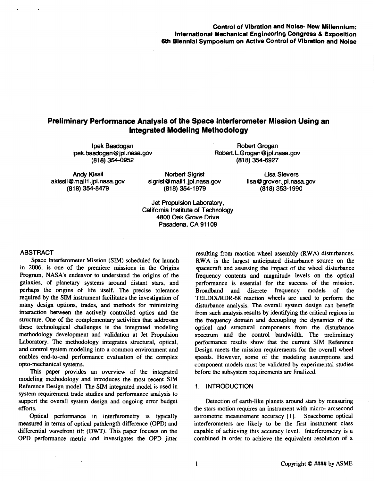# **Control of Vibration and Noise- New Millennium: International Mechanical Engineering Congress & Exposition 6th Biennial Symposium on Active Control of Vibration and Noise**

# **Preliminary Performance Analysis of the Space Interferometer Mission Using an Integrated Modeling Methodology**

**lpek Basdogan [ipek.basdogan@jpl.nasa.gov](mailto:ipek.basdogan@jpl.nasa.gov) (81 8) 354-0952** 

**Robert Grogan [Robert.L.Grogan@jpl.nasa.go](mailto:Robert.L.Grogan@jpl.nasa.gov)v (81 8) 354-6927** 

Andy Kissil **Andy Kissil** Norbert Sigrist Lisa Sievers akissil @mail1.jpl.nasa.gov buits akissil @mail1.jpl.nas

**akissil@mail1.jpl.nasa.gov** sigrist@mail1.jpl.nasa.gov [lisa@grover.jpl.nasa.go](mailto:lisa@grover.jpl.nasa.gov)v <br>(818) 353-1990 (818) 353-1990

**(81 8) 354-8479 (81 8) 354-1 979 (81 8) 353-1 990** 

**Jet Propulsion Laboratory, California Institute of Technology 4800 Oak Grove Drive Pasadena, CA 91 109** 

# **ABSTRACT**

Space Interferometer Mission **(SIM)** scheduled for launch in **2006,** is one of the premiere missions in the Origins Program, **NASA's** endeavor to understand the origins of the galaxies, of planetary systems around distant stars, and perhaps the origins of life itself. The precise tolerance required by the **SIM** instrument facilitates the investigation of many design options, trades, and methods for minimizing interaction between the actively controlled optics and the structure. One of the complementary activities that addresses these technological challenges is the integrated modeling methodology development and validation at Jet Propulsion Laboratory. The methodology integrates structural, optical, and control system modeling into a common environment and enables end-to-end performance evaluation of the complex opto-mechanical systems.

**This** paper provides an overview of the integrated modeling methodology and introduces the most recent SIM Reference Design model. The **SIM** integrated model is used in system requirement trade studies and performance analysis to support the overall system design and ongoing error budget efforts.

Optical performance in interferometry is typically measured in terms of optical pathlength difference **(OPD)** and differential wavefront tilt **(DWT).** This paper focuses on the **OPD** performance metric and investigates the **OPD** jitter

resulting from reaction wheel assembly **(RWA)** disturbances. **RWA** is the largest anticipated disturbance source on the spacecraft and assessing the impact of the wheel disturbance frequency contents and magnitude levels on the optical performance is essential for the success of the mission. Broadband discrete frequency models of the TELDWRDR-68 reaction wheels are used to perform the disturbance analysis. The overall system design can benefit from such analysis results by identifying the critical regions in the frequency domain and decoupling the dynamics of the optical and structural components from the disturbance spectrum and the control bandwidth. The preliminary performance results show that he current **SIM** Reference Design meets the mission requirements for the overall wheel speeds. However, some of the modeling assumptions and component models must be validated by experimental studies before the subsystem requirements are finalized.

## **1. INTRODUCTION**

Detection of earth-like planets around **stars** by measuring the **stars** motion requires an instrument with micro- arcsecond astrometric measurement accuracy **[I].** Spacebome optical interferometers are likely to be the first instrument class capable of achieving this accuracy level. Interferometry is a combined in order to achieve the equivalent resolution of a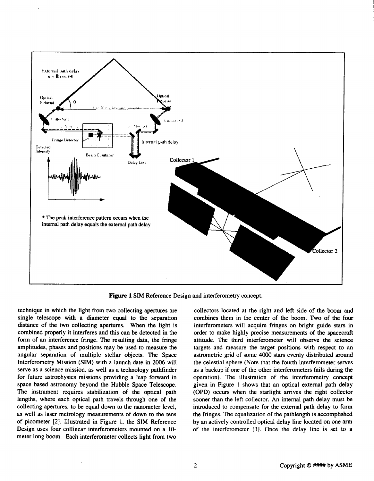<span id="page-1-0"></span>

**Figure 1 SIM** Reference Design and interferometry concept.

technique in which the light from two collecting apertures are single telescope with a diameter equal to the separation distance of the two collecting apertures. When the light is combined properly it interferes and this can be detected in the form of an interference fringe. The resulting data, the fringe amplitudes, phases and positions may be used to measure the angular separation of multiple stellar objects. The Space Interferometry Mission (SIM) with a launch date in 2006 will serve as a science mission, as well as a technology pathfinder for future astrophysics missions providing a leap forward in space based astronomy beyond the Hubble Space Telescope. The instrument requires tabilization of the optical path lengths, where each optical path travels through one of the collecting apertures, to be equal down to the nanometer level, as well as laser metrology measurements of down to the tens of picometer **[2].** Illustrated in Figure **1,** the **SIM** Reference Design uses four collinear interferometers mounted on a **10**  meter long boom. Each interferometer collects light from two

collectors located at the right and left side of the **boom** and combines them in the center of the boom. Two of the four interferometers will acquire fringes on bright guide stars in order to make highly precise measurements of the spacecraft attitude. The third interferometer will observe the science targets and measure the target positions with respect to an astrometric grid of some **4000** stars evenly distributed around the celestial sphere (Note that the fourth interferometer serves as a backup if one of the other interferometers fails during the operation). The illustration of the interferometry concept given in Figure **1** shows that an optical external path delay **(OPD)** occurs when the starlight arrives the right collector sooner than the left collector. **An** internal path delay must be introduced to compensate for the external path delay to form the fringes. The equalization of the pathlength is accomplished by an actively controlled optical delay line located on one **arm**  of the interferometer [3]. Once the delay line is set to a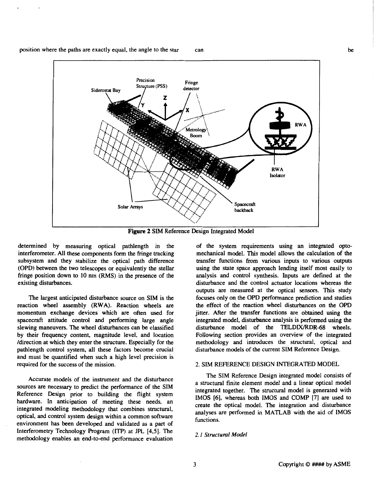<span id="page-2-0"></span>



**Figure 2 SIM** Reference Design Integrated Model

determined by measuring optical pathlength in the interferometer. All these components form the fringe tracking subsystem and they stabilize the optical path difference (OPD) between the two telescopes or equivalently the stellar fringe position down to **10** nm (RMS) in the presence of the existing disturbances.

The largest anticipated disturbance source on SIM is the reaction wheel assembly (RWA). Reaction wheels are momentum exchange devices which are often used for spacecraft attitude control and performing large angle slewing maneuvers. The wheel disturbances can be classified by their frequency content, magnitude level. and location /direction at which they enter the structure. Especially for the pathlength control system, all these factors become crucial and must be quantified when such a high level precision is required for the success of the mission.

Accurate models of the instrument and the disturbance sources are necessary to predict the performance of the SIM Reference Design prior to building the flight system hardware. In anticipation of meeting these needs, an integrated modeling methodology that combines structural, optical, and control system design within a common software environment has been developed and validated as a part of Interferometry Technology Program (ITP) at *JPL* **[4,5].** The methodology enables an end-to-end performance evaluation

of the system requirements using an integrated optomechanical model. This model allows the calculation of the transfer functions from various inputs to various outputs using the state space approach lending itself most easily to analysis and control synthesis. Inputs are defined at he disturbance and the control actuator locations whereas the outputs are measured at the optical sensors. This study focuses only on the OPD performance prediction and studies the effect of the reaction wheel disturbances on the OPD jitter. After the transfer functions are obtained using the integrated model, disturbance analysis is performed using the disturbance model of the TELDIX/RDR-68 wheels. Following section provides an overview of the integrated methodology and introduces the structural, optical and disturbance models of the current SIM Reference Design.

# **2.** SIM REFERENCE DESIGN INTEGRATED MODEL

The SIM Reference Design integrated model consists of a structural finite element model and a linear optical model integrated together. The structural model is generated with IMOS [6], whereas both IMOS and COMP **[7]** are used to create the optical model. The integration and disturbance analyses are performed in MATLAB with the aid of IMOS functions.

# **2.** *I Structuml Model*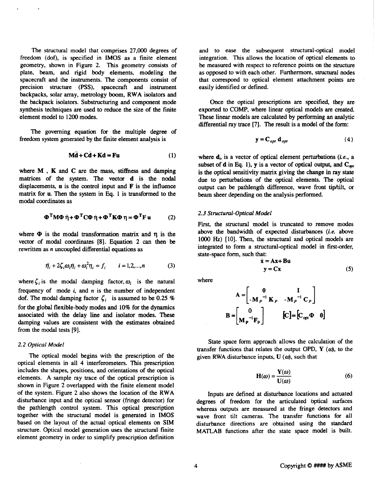<span id="page-3-0"></span>The structural model that comprises **27,000** degrees of freedom (dof), is specified in **IMOS** as a finite element **geometry, shown in Fig[ure 2.](#page-2-0) This** geometry consists **of**  plate, beam, and rigid body elements, modeling the spacecraft and the instruments. The components consist of precision structure (PSS), spacecraft and istrument backpacks, solar array, metrology boom, **RWA** isolators and the backpack isolators. Substructuring and component mode synthesis techniques are used to reduce the size of the finite element model to **1200** modes.

The governing equation for the multiple degree of **freedom** system generated by the finite element analysis is

$$
M\ddot{d} + C\dot{d} + Kd = Fu
$$
 (1)

where **M** , **K** and **C** are the mass, stiffness and damping matrices of the system. The vector **d** is the nodal displacements, **u** is the control input and **F** is the influence matrix for **u.** Then the system in **Eq. 1** is transformed to the modal coordinates as

$$
\Phi^{\mathrm{T}} M \Phi \ddot{\eta} + \Phi^{\mathrm{T}} C \Phi \dot{\eta} + \Phi^{\mathrm{T}} K \Phi \eta = \Phi^{\mathrm{T}} F u \qquad (2)
$$

where  $\Phi$  is the modal transformation matrix and  $\eta$  is the vector of modal coordinates **[8].** Equation **2** *can* then be rewritten as *n* uncoupled differential equations as

$$
\ddot{\eta}_i + 2\zeta_i \omega_i \dot{\eta}_i + \omega_i^2 \eta_i = f_i \qquad i = 1, 2, ..., n \tag{3}
$$

where  $\zeta_i$  is the modal damping factor,  $\omega_i$  is the natural frequency of mode *i,* and *n* is the number of independent dof. The modal damping factor  $\zeta_i$  is assumed to be 0.25 % for the global flexible-body modes and **10%** for the dynamics associated with the delay line and isolator modes. These damping values are consistent with the estimates obtained from the modal tests **[9].** 

## *2.2 Optical Model*

The optical model begins with the prescription of the optical elements in all **4** interferometers. **This** prescription includes the shapes, positions, and orientations of the optical elements. **A** sample ray trace of the optical prescription is shown in [Figure](#page-2-0) **2** overlapped with the finite element model of the system. [Figure](#page-2-0) **2** also shows the location of the **RWA**  disturbance input and the optical sensor (fringe detector) for the pathlength control system. **This** optical prescription together with the structural model is generated in **IMOS**  based on the layout of the actual optical elements on **SIM**  structure. Optical model generation uses the structural finite element geometry in order to simplify prescription definition

and to ease the subsequent structural-optical model integration. **This** allows the location of optical elements to be measured with respect to reference points on the structure as opposed to with each other. Furthermore, structural nodes that correspond to optical element attachment points are easily identified or defined.

Once the optical prescriptions are specified, they are exported to COMP, where linear optical models are created. These linear models are calculated by performing an analytic differential ray trace **[7].** The result is a model of the form:

$$
\mathbf{y} = \mathbf{C}_{opt} \; \mathbf{d}_{opt} \tag{4}
$$

where  $\mathbf{d}_o$  is a vector of optical element perturbations *(i.e., a* subset of **d** in Eq. 1), **y** is a vector of optical output, and  $C_{opt}$ is the optical sensitivity matrix giving the change in ray **state**  due to perturbations of the optical elements. The optical output can be pathlength difference, wave front tiphilt, or beam sheer depending on the analysis performed.

## *2.3 Structural-Optical Model*

First, the structural model is truncated to remove modes above the bandwidth of expected disturbances *(i.e.* above **loo0** *Hz)* **[lo].** Then, the structural and optical models are integrated to form a structural-optical model in first-order, state-space form, such that:

$$
\dot{\mathbf{x}} = \mathbf{A}\mathbf{x} + \mathbf{B}\mathbf{u}
$$
  

$$
\mathbf{y} = \mathbf{C}\mathbf{x}
$$
 (5)

where

$$
\mathbf{A} = \begin{bmatrix} \mathbf{0} & \mathbf{I} \\ -\mathbf{M}_{P}^{-1} \mathbf{K}_{P} & -\mathbf{M}_{P}^{-1} \mathbf{C}_{P} \end{bmatrix}
$$

$$
\mathbf{B} = \begin{bmatrix} \mathbf{0} \\ \mathbf{M}_{P}^{-1} \mathbf{F}_{P} \end{bmatrix} \qquad [\mathbf{C}] = [\mathbf{C}_{opt} \Phi \quad \mathbf{0}]
$$

State space form approach allows the calculation of the transfer functions that relates the output OPD,  $Y$   $(\omega)$ , to the given RWA disturbance inputs,  $U(\omega)$ , such that

$$
\mathbf{H}(\omega) = \frac{\mathbf{Y}(\omega)}{\mathbf{U}(\omega)}\tag{6}
$$

Inputs are defined at disturbance locations and actuated degrees of freedom for the articulated bptical surfaces whereas outputs are measured at the fringe detectors and wave front tilt cameras. The transfer functions for **all**  disturbance directions are obtained using the standard **MATLAB** functions after the state space model is built.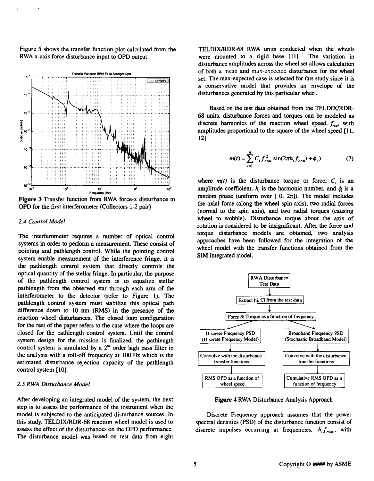Figure **5** shows the transfer function plot calculated from the RWA x-axis force disturbance input to OPD output.



**Figure 3** Transfer function fiom **RWA** force-x disturbance to OPD for the first interferometer (Collectors **1-2 pair)** 

#### *2.4 Contml Model*

The interferometer requires a number of optical control systems in order to perform a measurement. These consist of pointing and pathlength control. While the pointing control system enable measurement of the interference fringe, it is the pathlength control system that directly controls the optical quantity of the stellar fringe. In particular, the purpose of the pathlength control system is to equalize stellar pathlength from the observed star through each arm of the interferometer to the detector (refer to Figure **1).** The pathlength control system must stabilize this optical path difference down to **10** nm **(RMS)** in the presence of the reaction wheel disturbances. The closed loop configuration for the rest of the paper refers to the case where the loops are closed for the pathlength control system. Until the control system design for the mission is finalized, the pathlength control system is simulated by a **2"** order high pass filter in the analysis with a roll-off frequency at **100** *Hz* which **is** the estimated disturbance rejection capacity of the pathlength control system [10].

## *2.5 R WA Disturbance Model*

After developing an integrated model of the system, the next step is to assess the performance of the instrument when the model is subjected to the anticipated disturbance sources. In this study, TELDIX/RDR-68 reaction wheel model is used to assess the effect of the disturbances on the OPD performance. The disturbance model was based on test data from eight

TELDIX/RDR-68 RWA units conducted when the wheels were mounted to a rigid base [11]. The variation in disturbance amplitudes across the wheel set allows calculation of both a mean and **rnax-expected** disturbance for the wheel set. The max-expected case is selected for this study since it is a conservative model that provides an envelope of the disturbances generated by this particular wheel.

Based on the test data obtained from the TELDIX/RDR-**68** units, disturbance forces and torques can be modeled as discrete harmonics of the reaction wheel speed,  $f_{\text{max}}$ , with amplitudes proportional to the square of the wheel speed [ **1 1, 121** 

$$
m(t) = \sum_{i=1}^{n} C_i f_{rwa}^2 \sin(2\pi h_i f_{rwa} t + \phi_i)
$$
 (7)

where  $m(t)$  is the disturbance torque or force,  $C_i$  is an amplitude coefficient,  $h_i$ , is the harmonic number, and  $\phi_i$  is a random phase (uniform over  $[0, 2\pi]$ ). The model includes the axial force (along the wheel spin axis), two radial forces (normal to the spin axis), and two radial torques (causing wheel to wobble). Disturbance torque about he **axis** of rotation is considered to be insignificant. After the force and torque disturbance models are obtained, two analysis approaches have been followed for the integration of the wheel model with the transfer functions obtained from the **SIM** integrated model.



**Figure 4** RWA Disturbance Analysis Approach

Discrete Frequency approach assumes that he power spectral densities (PSD) of the disturbance function consist of discrete impulses occurring at frequencies,  $h_i f_{rwa}$ , with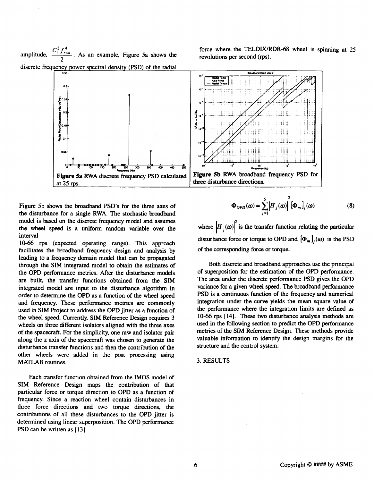2  $f^4$ amplitude,  $\frac{C_i^2 f_{\text{rwa}}^4}{2}$ . As an example, Figure 5a shows the discrete frequency power spectral density (PSD) of the radial discrete frequency power spectral density (PSD) of the radial

force where the TELDWRDR-68 wheel is spinning at **25**  revolutions per second **(rps).** 



Figure 5b shows the broadband PSD's for the three axes of the disturbance for a single RWA. The stochastic broadband model is based on the discrete frequency model and assumes the wheel **speed** is a uniform random variable over the interval

**10-66 rps** (expected operating range). This approach facilitates the broadband frequency design and analysis by leading to a frequency domain model that *can* be propagated through the **SIM** integrated model to obtain the estimates of the OPD performance metrics. After the disturbance models are built, the transfer functions obtained from the **SIM**  integrated model are input to the disturbance algorithm in order to determine the OPD as a function of the wheel speed and frequency. These performance metrics **are** commonly used in **SIM** Project to address the OPD jitter as a function of the wheel speed. Currently, **SIM** Reference Design requires **3**  wheels on three different isolators aligned with the three axes of the spacecraft. For the simplicity, one raw and isolator **pair**  along the **z** axis of the spacecraft **was** chosen to generate the disturbance transfer functions and then the contribution of the other wheels were added in the post processing using **MATLAB** routines.

Each transfer function obtained from the **IMOS** model of **SIM** Reference Design maps the contribution of that particular force or torque direction to OPD as a function of frequency. Since a reaction wheel contain disturbances in three force directions and two torque directions, the contributions of all these disturbances to the OPD jitter **is**  determined using linear superposition. The OPD performance PSD can **be** written as [ **131:** 

$$
\Phi_{OPD}(\omega) = \sum_{j=1}^{5} \left| H_j(\omega) \right|^2 \left[ \Phi_m \right]_j(\omega) \tag{8}
$$

where  $\left|H_{i}(\omega)\right|^{2}$  is the transfer function relating the particular disturbance force or torque to OPD and  $[\Phi_m]_i(\omega)$  is the PSD of the corresponding force *or* torque.

Both discrete and broadband approaches ue the principal of superposition for the estimation of the OPD performance. The area under the discrete performance PSD gives the OPD variance for a given wheel **speed.** The broadband performance PSD is **a** continuous function of the frequency and numerical integration under the curve yields the mean square value of the performance where the integration limits are defined as **10-66** rps [ **141.** These two disturbance analysis methods are used in the following section to predict the OPD performance metrics of the **SIM** Reference Design. These methods provide valuable information to identify the design margins for the structure and the control system.

## **3. RESULTS**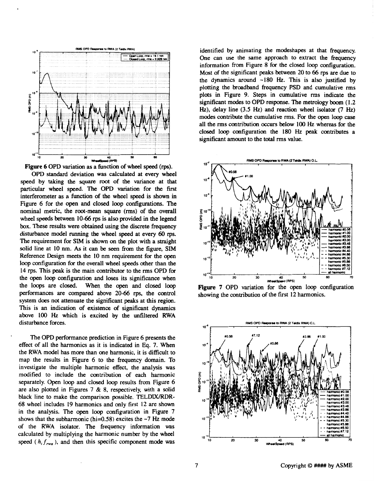



**OPD** standard deviation was calculated at every wheel speed by taking the square root of the variance at that particular wheel speed. The **OPD** variation for the first interferometer as a function **of** the wheel **speed** is shown in Figure **6** for the open and closed loop configurations. The nominal metric, the root-mean square (rms) of the overall wheel **speeds** between **10-66** *rps* is **also** provided in the legend **box.** These results were obtained using the discrete frequency disturbance model running the wheel speed at every *60* **rps.**  The requirement for **SIM** is shown on the plot with a straight solid line at **10** nm. *As* it can be seen from the figure, **SIM**  Reference Design meets the **10** nm requirement for the *open*  loop configuration for the overall wheel **speeds** other than the 14 *rps.* This **peak** is the main contributor to the rms **OPD** for the open loop configuration and **loses** its significance when the loops are closed. When the open and closed **loop**  performances are compared above **20-66** rps, the control system does not attenuate the significant **peaks** at this region. This is an indication of existence of significant dynamics above 100 *Hz* which is excited by the unfiltered **RWA**  disturbance forces.

The **OPD** performance prediction in Figure **6** presents the effect of all the harmonics as it is indicated in Eq. 7. When the **RWA** model has more than one harmonic, it is difficult to map the results in Figure **6** to the frequency domain. To investigate the multiple harmonic effect, the analysis was modified to include the contribution of each harmonic separately. Open loop and closed loop results from Figure **6**  are **also** plotted in Figures 7 & 8, respectively, with a solid black line to make the comparison possible. **TELDIX/RDR-68** wheel includes 19 harmonics and only first **12** are shown in the analysis. The open loop configuration in Figure **7**  shows that the subharmonic (hi=0.58) excites the **-7** *Hz* mode of the **RWA** isolator. The frequency information **was**  calculated by multiplying the harmonic number by the wheel speed ( $h_i f_{rwa}$ ), and then this specific component mode was

identified by animating the modeshapes at that frequency. One can use the same approach to extract the frequency information from [Figure 8](#page-7-0) for the closed loop configuration. Most of the significant **peaks** between **20** to *66* rps are due to the dynamics around **-180** *Hz.* This is also justified by plotting the broadband frequency **PSD** and cumulative rms plots in Fig[ure](#page-7-0) **9.** Steps in cumulative rms indicate the significant modes to **OPD** response. The metrology boom **(1.2**  *Hz),* delay line **(3.5** *Hz)* and reaction wheel isolator **(7** *Hz)*  modes contribute the cumulative rms. For the *open* loop *case*  all the rms contribution occurs below **100** *Hz* whereas for the closed loop configuration the **180** *Hz* **peak** contributes a significant amount to the total **rms** value.



Figure 7 OPD variation for the open loop configuration showing the contribution of the frrst **12** harmonics.

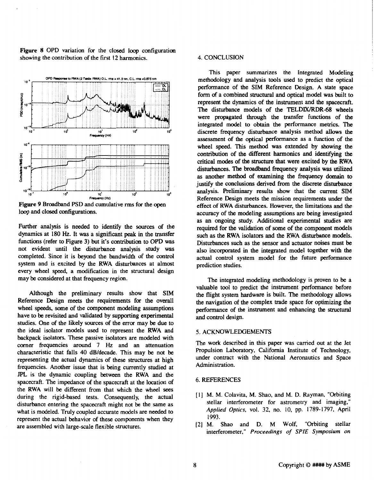<span id="page-7-0"></span>**Figure 8** OPD variation for the closed loop configuration showing the contribution of the first **12** harmonics.



**Figure 9** Broadband **PSD** and cumulative **rms** for the open loop and closed configurations.

Further analysis is needed to identify the sources of the dynamics at **180** *Hz.* It **was** a significant **peak** in the transfer functions (refer to Figure **3)** but it's contribution to OPD **was**  not evident until the disturbance analysis study **was**  completed. Since it is beyond the bandwidth of the control system and is excited by the RWA disturbances at almost every wheel **speed,** a modification in the structural design may be considered at that frequency region.

Although the preliminary results show that SIM Reference Design meets the requirements for the overall wheel **speeds,** some of the component modeling assumptions have to be revisited and validated by supporting experimental studies. One of the likely sources **of** the error may be due to the ideal isolator models used to represent the RWA and backpack isolators. These passive isolators are modeled with comer Frequencies around 7*Hz* and an attenuation characteristic that falls **40** dB/decade. This may be not be representing the actual dynamics of these structures at high Frequencies. Another issue that is being currently studied at JPL is the dynamic coupling between the RWA and the spacecraft. The impedance of the spacecraft at the location of the RWA will be different from that which the wheel *sees*  during the rigid-based tests. Consequently, the actual disturbance entering the spacecraft might not be the same as what is modeled. Truly coupled accurate models are needed to represent the actual behavior of these components when they are assembled with large-scale flexible structures.

## **4.** CONCLUSION

This paper summarizes the Integrated Modeling methodology and analysis tools used to predict the optical performance of the SIM Reference Design. A state space form of a combined structural and optical model was built to represent the dynamics of the instrument and the spacecraft. The disturbance models of the TELDIX/RDR-68 wheels were propagated through the transfer functions of the integrated model to obtain the performance metrics. The discrete frequency disturbance analysis method allows the assessment of the optical performance as a function of the wheel speed. **This** method was extended by showing the contribution of the different harmonics and identifying the critical modes **of** the structure that were excited by the RWA disturbances. The broadband frequency analysis was utilized as another method of examining the frequency domain **to**  justify the conclusions derived from the discrete disturbance analysis. Preliminary results how that the current **SIM**  Reference Design meets the mission requirements under the effect of RWA disturbances. However, the limitations and the accuracy of the modeling assumptions are being investigated as an ongoing study. Additional experimental studies are required for the validation of some **of** the component models such as the RWA isolators and the RWA disturbance models. Disturbances such as the sensor and actuator noises must be also incorporated in the integrated model together with the actual control system model for the future performance prediction studies.

The integrated modeling methodology is proven to be a valuable tool to predict the instrument performance before the flight system hardware **is** built. The methodology allows the navigation of the complex trade space for optimizing the performance of the instrument and enhancing the structural and control design.

## **5.** ACKNOWLEDGEMENTS

The work described in **this** paper was carried out at the Jet Propulsion Laboratory, California Institute of Technology, under contract with the National Aeronautics and Space Administration.

## *6.* REFERENCES

- [ **11 M. M.** Colavita, **M.** Shao, and **M.** D. Rayman, "Orbiting stellar interferometer for astrometry and imaging," *Applied Optics,* vol. **32,** no. **10,** pp. 1789- 1797, April **1993.**
- [2] M. Shao and D. M Wolf, "Orbiting stellar interferometer," *Proceedings of SPlE Symposium on*